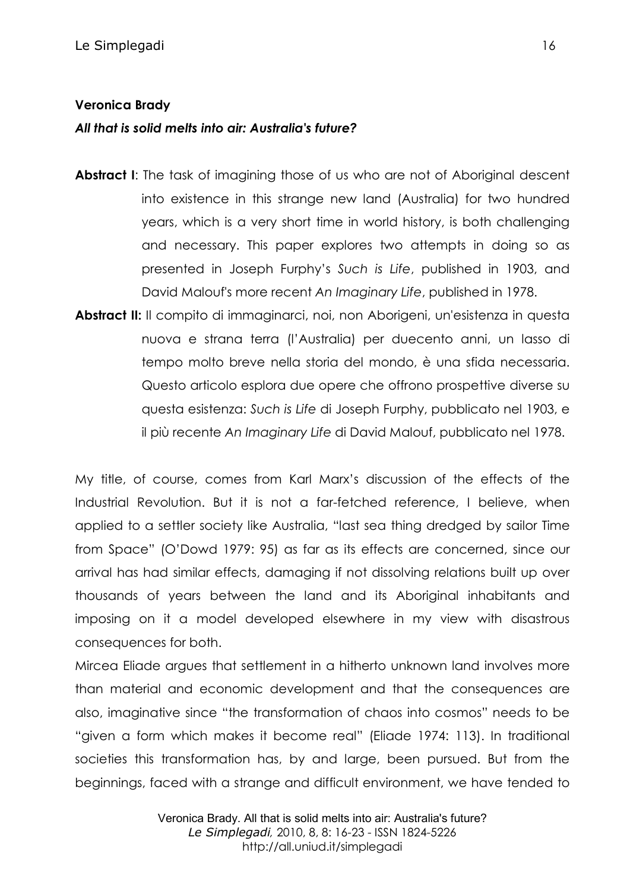## **Veronica Brady**

# *All that is solid melts into air: Australia's future?*

- **Abstract I:** The task of imagining those of us who are not of Aboriginal descent into existence in this strange new land (Australia) for two hundred years, which is a very short time in world history, is both challenging and necessary. This paper explores two attempts in doing so as presented in Joseph Furphy's *Such is Life*, published in 1903, and David Malouf's more recent *An Imaginary Life*, published in 1978.
- **Abstract II:** Il compito di immaginarci, noi, non Aborigeni, un'esistenza in questa nuova e strana terra (l'Australia) per duecento anni, un lasso di tempo molto breve nella storia del mondo, è una sfida necessaria. Questo articolo esplora due opere che offrono prospettive diverse su questa esistenza: *Such is Life* di Joseph Furphy, pubblicato nel 1903, e il più recente *An Imaginary Life* di David Malouf, pubblicato nel 1978.

My title, of course, comes from Karl Marx's discussion of the effects of the Industrial Revolution. But it is not a far-fetched reference, I believe, when applied to a settler society like Australia, "last sea thing dredged by sailor Time from Space" (O'Dowd 1979: 95) as far as its effects are concerned, since our arrival has had similar effects, damaging if not dissolving relations built up over thousands of years between the land and its Aboriginal inhabitants and imposing on it a model developed elsewhere in my view with disastrous consequences for both.

Mircea Eliade argues that settlement in a hitherto unknown land involves more than material and economic development and that the consequences are also, imaginative since "the transformation of chaos into cosmos" needs to be "given a form which makes it become real" (Eliade 1974: 113). In traditional societies this transformation has, by and large, been pursued. But from the beginnings, faced with a strange and difficult environment, we have tended to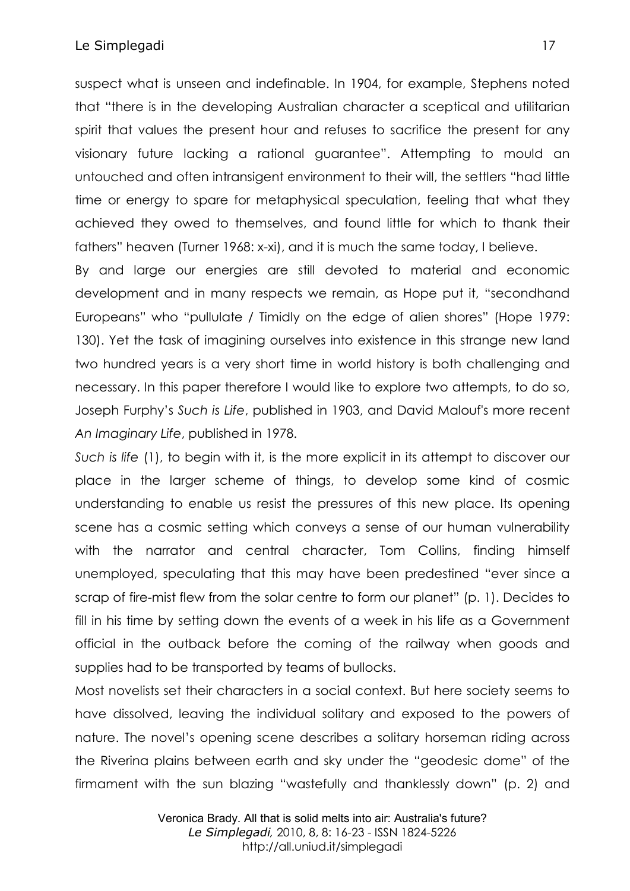suspect what is unseen and indefinable. In 1904, for example, Stephens noted that "there is in the developing Australian character a sceptical and utilitarian spirit that values the present hour and refuses to sacrifice the present for any visionary future lacking a rational guarantee". Attempting to mould an untouched and often intransigent environment to their will, the settlers "had little time or energy to spare for metaphysical speculation, feeling that what they achieved they owed to themselves, and found little for which to thank their fathers" heaven (Turner 1968: x-xi), and it is much the same today, I believe.

By and large our energies are still devoted to material and economic development and in many respects we remain, as Hope put it, "secondhand Europeans" who "pullulate / Timidly on the edge of alien shores" (Hope 1979: 130). Yet the task of imagining ourselves into existence in this strange new land two hundred years is a very short time in world history is both challenging and necessary. In this paper therefore I would like to explore two attempts, to do so, Joseph Furphy's *Such is Life*, published in 1903, and David Malouf's more recent *An Imaginary Life*, published in 1978.

*Such is life* (1), to begin with it, is the more explicit in its attempt to discover our place in the larger scheme of things, to develop some kind of cosmic understanding to enable us resist the pressures of this new place. Its opening scene has a cosmic setting which conveys a sense of our human vulnerability with the narrator and central character, Tom Collins, finding himself unemployed, speculating that this may have been predestined "ever since a scrap of fire-mist flew from the solar centre to form our planet" (p. 1). Decides to fill in his time by setting down the events of a week in his life as a Government official in the outback before the coming of the railway when goods and supplies had to be transported by teams of bullocks.

Most novelists set their characters in a social context. But here society seems to have dissolved, leaving the individual solitary and exposed to the powers of nature. The novel's opening scene describes a solitary horseman riding across the Riverina plains between earth and sky under the "geodesic dome" of the firmament with the sun blazing "wastefully and thanklessly down" (p. 2) and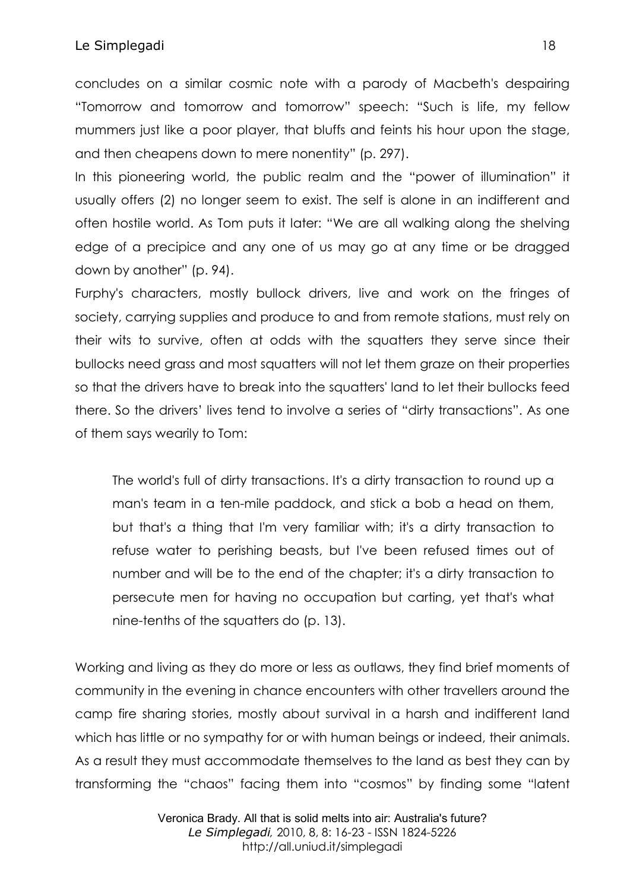### Le Simplegadi anno 18

concludes on a similar cosmic note with a parody of Macbeth's despairing "Tomorrow and tomorrow and tomorrow" speech: "Such is life, my fellow mummers just like a poor player, that bluffs and feints his hour upon the stage, and then cheapens down to mere nonentity" (p. 297).

In this pioneering world, the public realm and the "power of illumination" it usually offers (2) no longer seem to exist. The self is alone in an indifferent and often hostile world. As Tom puts it later: "We are all walking along the shelving edge of a precipice and any one of us may go at any time or be dragged down by another" (p. 94).

Furphy's characters, mostly bullock drivers, live and work on the fringes of society, carrying supplies and produce to and from remote stations, must rely on their wits to survive, often at odds with the squatters they serve since their bullocks need grass and most squatters will not let them graze on their properties so that the drivers have to break into the squatters' land to let their bullocks feed there. So the drivers' lives tend to involve a series of "dirty transactions". As one of them says wearily to Tom:

The world's full of dirty transactions. It's a dirty transaction to round up a man's team in a ten-mile paddock, and stick a bob a head on them, but that's a thing that I'm very familiar with; it's a dirty transaction to refuse water to perishing beasts, but I've been refused times out of number and will be to the end of the chapter; it's a dirty transaction to persecute men for having no occupation but carting, yet that's what nine-tenths of the squatters do (p. 13).

Working and living as they do more or less as outlaws, they find brief moments of community in the evening in chance encounters with other travellers around the camp fire sharing stories, mostly about survival in a harsh and indifferent land which has little or no sympathy for or with human beings or indeed, their animals. As a result they must accommodate themselves to the land as best they can by transforming the "chaos" facing them into "cosmos" by finding some "latent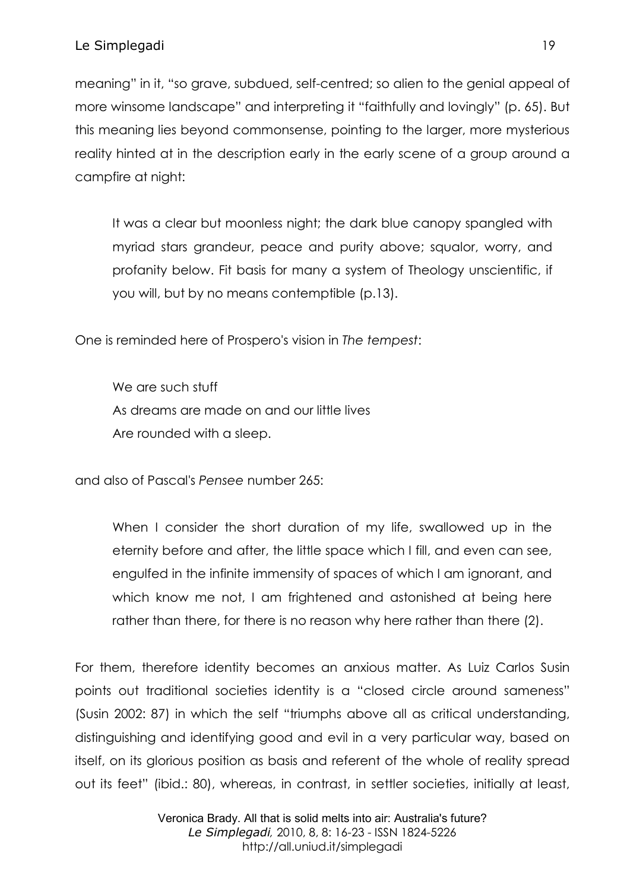meaning" in it, "so grave, subdued, self-centred; so alien to the genial appeal of more winsome landscape" and interpreting it "faithfully and lovingly" (p. 65). But this meaning lies beyond commonsense, pointing to the larger, more mysterious reality hinted at in the description early in the early scene of a group around a campfire at night:

It was a clear but moonless night; the dark blue canopy spangled with myriad stars grandeur, peace and purity above; squalor, worry, and profanity below. Fit basis for many a system of Theology unscientific, if you will, but by no means contemptible (p.13).

One is reminded here of Prospero's vision in *The tempest*:

We are such stuff As dreams are made on and our little lives Are rounded with a sleep.

and also of Pascal's *Pensee* number 265:

When I consider the short duration of my life, swallowed up in the eternity before and after, the little space which I fill, and even can see, engulfed in the infinite immensity of spaces of which I am ignorant, and which know me not, I am frightened and astonished at being here rather than there, for there is no reason why here rather than there (2).

For them, therefore identity becomes an anxious matter. As Luiz Carlos Susin points out traditional societies identity is a "closed circle around sameness" (Susin 2002: 87) in which the self "triumphs above all as critical understanding, distinguishing and identifying good and evil in a very particular way, based on itself, on its glorious position as basis and referent of the whole of reality spread out its feet" (ibid.: 80), whereas, in contrast, in settler societies, initially at least,

> Veronica Brady. All that is solid melts into air: Australia's future? *Le Simplegadi,* 2010, 8, 8: 16-23 - ISSN 1824-5226 http://all.uniud.it/simplegadi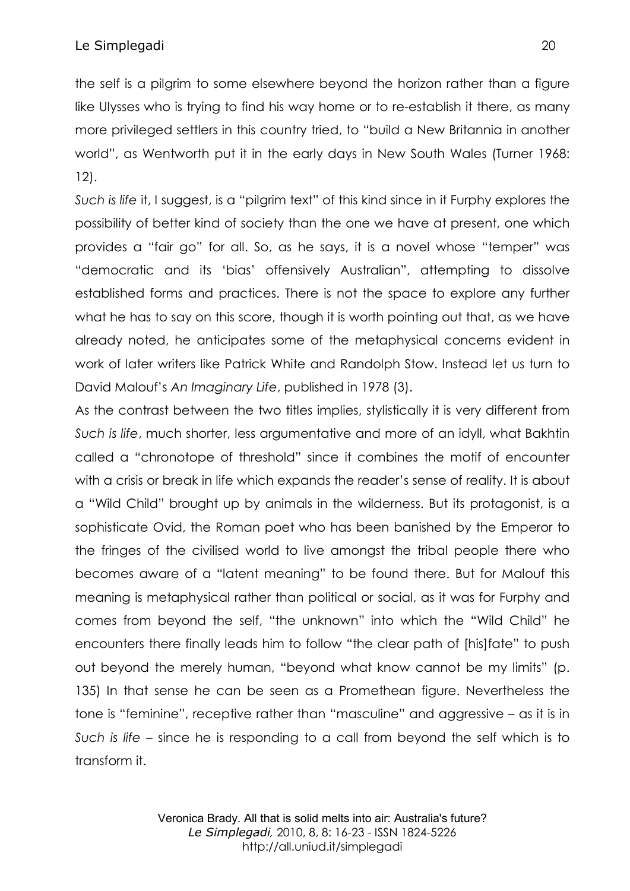the self is a pilgrim to some elsewhere beyond the horizon rather than a figure like Ulysses who is trying to find his way home or to re-establish it there, as many more privileged settlers in this country tried, to "build a New Britannia in another world", as Wentworth put it in the early days in New South Wales (Turner 1968: 12).

*Such is life* it, I suggest, is a "pilgrim text" of this kind since in it Furphy explores the possibility of better kind of society than the one we have at present, one which provides a "fair go" for all. So, as he says, it is a novel whose "temper" was "democratic and its 'bias' offensively Australian", attempting to dissolve established forms and practices. There is not the space to explore any further what he has to say on this score, though it is worth pointing out that, as we have already noted, he anticipates some of the metaphysical concerns evident in work of later writers like Patrick White and Randolph Stow. Instead let us turn to David Malouf's *An Imaginary Life*, published in 1978 (3).

As the contrast between the two titles implies, stylistically it is very different from *Such is life*, much shorter, less argumentative and more of an idyll, what Bakhtin called a "chronotope of threshold" since it combines the motif of encounter with a crisis or break in life which expands the reader's sense of reality. It is about a "Wild Child" brought up by animals in the wilderness. But its protagonist, is a sophisticate Ovid, the Roman poet who has been banished by the Emperor to the fringes of the civilised world to live amongst the tribal people there who becomes aware of a "latent meaning" to be found there. But for Malouf this meaning is metaphysical rather than political or social, as it was for Furphy and comes from beyond the self, "the unknown" into which the "Wild Child" he encounters there finally leads him to follow "the clear path of [his]fate" to push out beyond the merely human, "beyond what know cannot be my limits" (p. 135) In that sense he can be seen as a Promethean figure. Nevertheless the tone is "feminine", receptive rather than "masculine" and aggressive – as it is in *Such is life* – since he is responding to a call from beyond the self which is to transform it.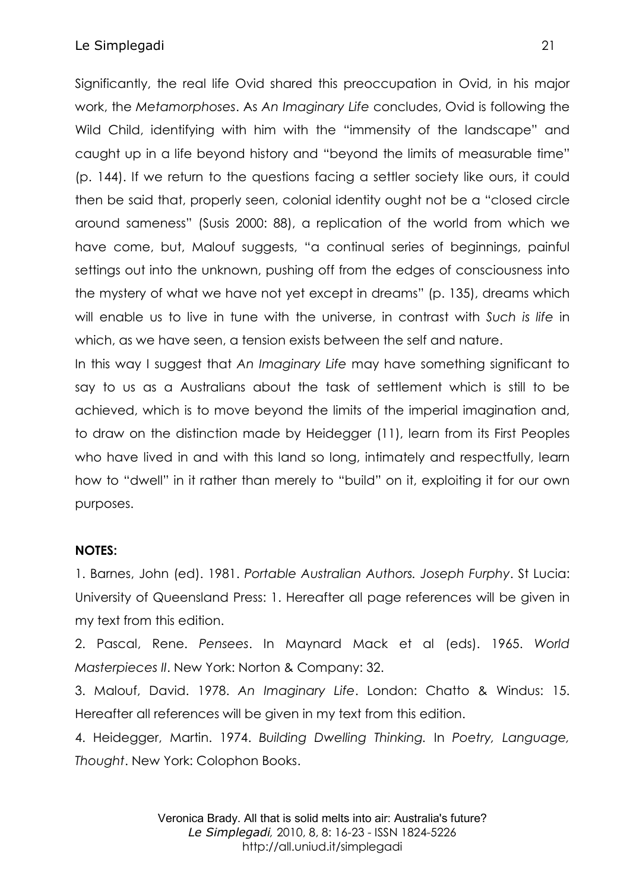#### Le Simplegadi 21

Significantly, the real life Ovid shared this preoccupation in Ovid, in his major work, the *Metamorphoses*. As *An Imaginary Life* concludes, Ovid is following the Wild Child, identifying with him with the "immensity of the landscape" and caught up in a life beyond history and "beyond the limits of measurable time" (p. 144). If we return to the questions facing a settler society like ours, it could then be said that, properly seen, colonial identity ought not be a "closed circle around sameness" (Susis 2000: 88), a replication of the world from which we have come, but, Malouf suggests, "a continual series of beginnings, painful settings out into the unknown, pushing off from the edges of consciousness into the mystery of what we have not yet except in dreams" (p. 135), dreams which will enable us to live in tune with the universe, in contrast with *Such is life* in which, as we have seen, a tension exists between the self and nature.

In this way I suggest that *An Imaginary Life* may have something significant to say to us as a Australians about the task of settlement which is still to be achieved, which is to move beyond the limits of the imperial imagination and, to draw on the distinction made by Heidegger (11), learn from its First Peoples who have lived in and with this land so long, intimately and respectfully, learn how to "dwell" in it rather than merely to "build" on it, exploiting it for our own purposes.

#### **NOTES:**

1. Barnes, John (ed). 1981. *Portable Australian Authors. Joseph Furphy*. St Lucia: University of Queensland Press: 1. Hereafter all page references will be given in my text from this edition.

2. Pascal, Rene. *Pensees*. In Maynard Mack et al (eds). 1965. *World Masterpieces II*. New York: Norton & Company: 32.

3. Malouf, David. 1978. *An Imaginary Life*. London: Chatto & Windus: 15. Hereafter all references will be given in my text from this edition.

4. Heidegger, Martin. 1974. *Building Dwelling Thinking.* In *Poetry, Language, Thought*. New York: Colophon Books.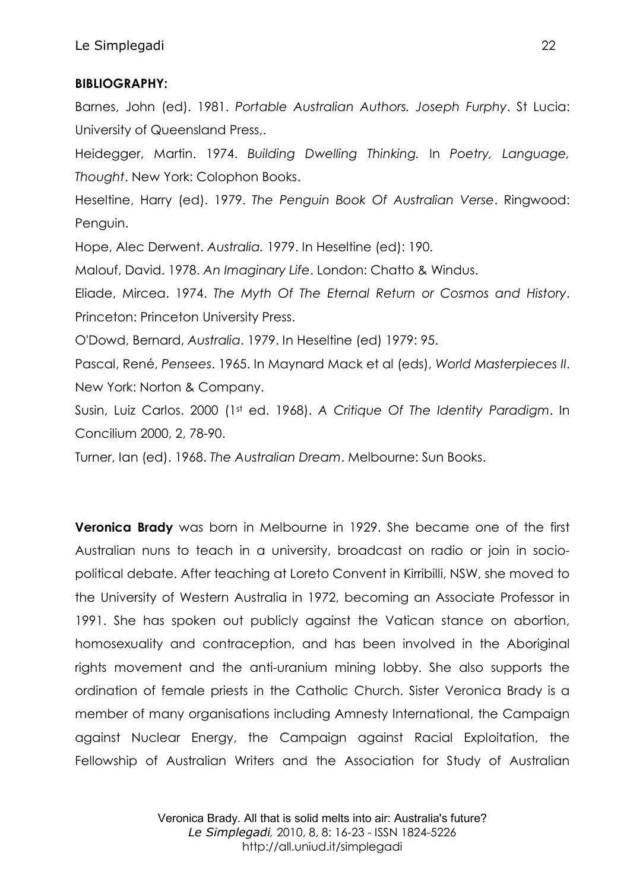# **BIBLIOGRAPHY:**

Barnes, John (ed). 1981. *Portable Australian Authors. Joseph Furphy*. St Lucia: University of Queensland Press,.

Heidegger, Martin. 1974. *Building Dwelling Thinking.* In *Poetry, Language, Thought*. New York: Colophon Books.

Heseltine, Harry (ed). 1979. *The Penguin Book Of Australian Verse*. Ringwood: Penguin.

Hope, Alec Derwent. *Australia.* 1979. In Heseltine (ed): 190.

Malouf, David. 1978. *An Imaginary Life*. London: Chatto & Windus.

Eliade, Mircea. 1974. *The Myth Of The Eternal Return or Cosmos and History*. Princeton: Princeton University Press.

O'Dowd, Bernard, *Australia*. 1979. In Heseltine (ed) 1979: 95.

Pascal, René, *Pensees*. 1965. In Maynard Mack et al (eds), *World Masterpieces II*. New York: Norton & Company.

Susin, Luiz Carlos. 2000 (1st ed. 1968). *A Critique Of The Identity Paradigm*. In Concilium 2000, 2, 78-90.

Turner, Ian (ed). 1968. *The Australian Dream*. Melbourne: Sun Books.

**Veronica Brady** was born in Melbourne in 1929. She became one of the first Australian nuns to teach in a university, broadcast on radio or join in sociopolitical debate. After teaching at Loreto Convent in Kirribilli, NSW, she moved to the University of Western Australia in 1972, becoming an Associate Professor in 1991. She has spoken out publicly against the Vatican stance on abortion, homosexuality and contraception, and has been involved in the Aboriginal rights movement and the anti-uranium mining lobby. She also supports the ordination of female priests in the Catholic Church. Sister Veronica Brady is a member of many organisations including Amnesty International, the Campaign against Nuclear Energy, the Campaign against Racial Exploitation, the Fellowship of Australian Writers and the Association for Study of Australian